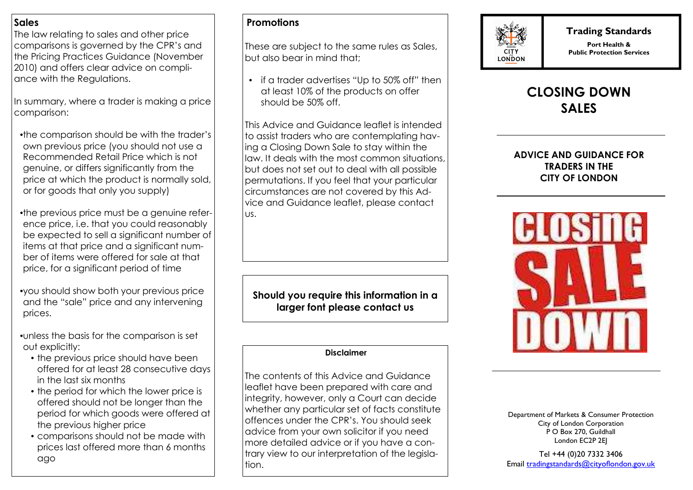### **Sales**

 The law relating to sales and other price comparisons is governed by the CPR's and the Pricing Practices Guidance (November 2010) and offers clear advice on compliance with the Regulations.

In summary, where a trader is making a price comparison:

- the comparison should be with the trader's own previous price (you should not use a Recommended Retail Price which is not genuine, or differs significantly from the price at which the product is normally sold, or for goods that only you supply)
- the previous price must be a genuine reference price, i.e. that you could reasonably be expected to sell a significant number of items at that price and a significant number of items were offered for sale at that price, for a significant period of time
- you should show both your previous price and the "sale" price and any intervening prices.
- unless the basis for the comparison is set out explicitly:
	- the previous price should have been offered for at least 28 consecutive days in the last six months
	- the period for which the lower price is offered should not be longer than the period for which goods were offered at the previous higher price
	- comparisons should not be made with prices last offered more than 6 months ago

# **Promotions**

These are subject to the same rules as Sales, but also bear in mind that;

• if a trader advertises "Up to 50% off" then at least 10% of the products on offer should be 50% off.

This Advice and Guidance leaflet is intended to assist traders who are contemplating having a Closing Down Sale to stay within the law. It deals with the most common situations, but does not set out to deal with all possible permutations. If you feel that your particular circumstances are not covered by this Advice and Guidance leaflet, please contact us.

**Should you require this information in a larger font please contact us** 

#### **Disclaimer**

The contents of this Advice and Guidance leaflet have been prepared with care and integrity, however, only a Court can decide whether any particular set of facts constitute offences under the CPR's. You should seek advice from your own solicitor if you need more detailed advice or if you have a contrary view to our interpretation of the legislation.



## **Trading Standards**

**Port Health & Public Protection Services** 

# **CLOSING DOWN SALES**

### **ADVICE AND GUIDANCE FOR TRADERS IN THE CITY OF LONDON**



Department of Markets & Consumer Protection City of London Corporation P O Box 270, Guildhall London EC2P 2EJ

Tel +44 (0)20 7332 3406 Email <u>tradingstandards@cityoflondon.gov.uk</u>